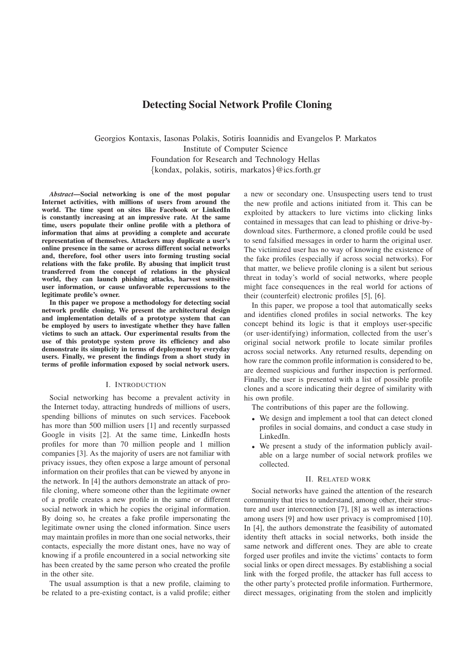# **Detecting Social Network Profile Cloning**

Georgios Kontaxis, Iasonas Polakis, Sotiris Ioannidis and Evangelos P. Markatos Institute of Computer Science Foundation for Research and Technology Hellas {kondax, polakis, sotiris, markatos}@ics.forth.gr

*Abstract***—Social networking is one of the most popular Internet activities, with millions of users from around the world. The time spent on sites like Facebook or LinkedIn is constantly increasing at an impressive rate. At the same time, users populate their online profile with a plethora of information that aims at providing a complete and accurate representation of themselves. Attackers may duplicate a user's online presence in the same or across different social networks and, therefore, fool other users into forming trusting social relations with the fake profile. By abusing that implicit trust transferred from the concept of relations in the physical world, they can launch phishing attacks, harvest sensitive user information, or cause unfavorable repercussions to the legitimate profile's owner.**

**In this paper we propose a methodology for detecting social network profile cloning. We present the architectural design and implementation details of a prototype system that can be employed by users to investigate whether they have fallen victims to such an attack. Our experimental results from the use of this prototype system prove its efficiency and also demonstrate its simplicity in terms of deployment by everyday users. Finally, we present the findings from a short study in terms of profile information exposed by social network users.**

#### I. INTRODUCTION

Social networking has become a prevalent activity in the Internet today, attracting hundreds of millions of users, spending billions of minutes on such services. Facebook has more than 500 million users [1] and recently surpassed Google in visits [2]. At the same time, LinkedIn hosts profiles for more than 70 million people and 1 million companies [3]. As the majority of users are not familiar with privacy issues, they often expose a large amount of personal information on their profiles that can be viewed by anyone in the network. In [4] the authors demonstrate an attack of profile cloning, where someone other than the legitimate owner of a profile creates a new profile in the same or different social network in which he copies the original information. By doing so, he creates a fake profile impersonating the legitimate owner using the cloned information. Since users may maintain profiles in more than one social networks, their contacts, especially the more distant ones, have no way of knowing if a profile encountered in a social networking site has been created by the same person who created the profile in the other site.

The usual assumption is that a new profile, claiming to be related to a pre-existing contact, is a valid profile; either a new or secondary one. Unsuspecting users tend to trust the new profile and actions initiated from it. This can be exploited by attackers to lure victims into clicking links contained in messages that can lead to phishing or drive-bydownload sites. Furthermore, a cloned profile could be used to send falsified messages in order to harm the original user. The victimized user has no way of knowing the existence of the fake profiles (especially if across social networks). For that matter, we believe profile cloning is a silent but serious threat in today's world of social networks, where people might face consequences in the real world for actions of their (counterfeit) electronic profiles [5], [6].

In this paper, we propose a tool that automatically seeks and identifies cloned profiles in social networks. The key concept behind its logic is that it employs user-specific (or user-identifying) information, collected from the user's original social network profile to locate similar profiles across social networks. Any returned results, depending on how rare the common profile information is considered to be, are deemed suspicious and further inspection is performed. Finally, the user is presented with a list of possible profile clones and a score indicating their degree of similarity with his own profile.

The contributions of this paper are the following.

- We design and implement a tool that can detect cloned profiles in social domains, and conduct a case study in LinkedIn.
- We present a study of the information publicly available on a large number of social network profiles we collected.

#### II. RELATED WORK

Social networks have gained the attention of the research community that tries to understand, among other, their structure and user interconnection [7], [8] as well as interactions among users [9] and how user privacy is compromised [10]. In [4], the authors demonstrate the feasibility of automated identity theft attacks in social networks, both inside the same network and different ones. They are able to create forged user profiles and invite the victims' contacts to form social links or open direct messages. By establishing a social link with the forged profile, the attacker has full access to the other party's protected profile information. Furthermore, direct messages, originating from the stolen and implicitly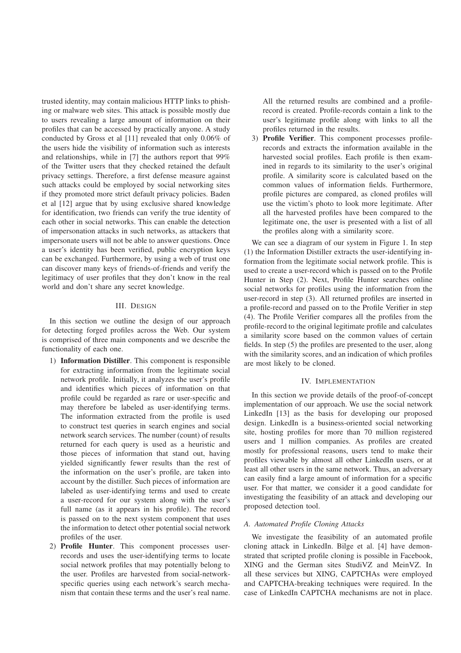trusted identity, may contain malicious HTTP links to phishing or malware web sites. This attack is possible mostly due to users revealing a large amount of information on their profiles that can be accessed by practically anyone. A study conducted by Gross et al [11] revealed that only 0.06% of the users hide the visibility of information such as interests and relationships, while in [7] the authors report that 99% of the Twitter users that they checked retained the default privacy settings. Therefore, a first defense measure against such attacks could be employed by social networking sites if they promoted more strict default privacy policies. Baden et al [12] argue that by using exclusive shared knowledge for identification, two friends can verify the true identity of each other in social networks. This can enable the detection of impersonation attacks in such networks, as attackers that impersonate users will not be able to answer questions. Once a user's identity has been verified, public encryption keys can be exchanged. Furthermore, by using a web of trust one can discover many keys of friends-of-friends and verify the legitimacy of user profiles that they don't know in the real world and don't share any secret knowledge.

# III. DESIGN

In this section we outline the design of our approach for detecting forged profiles across the Web. Our system is comprised of three main components and we describe the functionality of each one.

- 1) **Information Distiller**. This component is responsible for extracting information from the legitimate social network profile. Initially, it analyzes the user's profile and identifies which pieces of information on that profile could be regarded as rare or user-specific and may therefore be labeled as user-identifying terms. The information extracted from the profile is used to construct test queries in search engines and social network search services. The number (count) of results returned for each query is used as a heuristic and those pieces of information that stand out, having yielded significantly fewer results than the rest of the information on the user's profile, are taken into account by the distiller. Such pieces of information are labeled as user-identifying terms and used to create a user-record for our system along with the user's full name (as it appears in his profile). The record is passed on to the next system component that uses the information to detect other potential social network profiles of the user.
- 2) **Profile Hunter**. This component processes userrecords and uses the user-identifying terms to locate social network profiles that may potentially belong to the user. Profiles are harvested from social-networkspecific queries using each network's search mechanism that contain these terms and the user's real name.

All the returned results are combined and a profilerecord is created. Profile-records contain a link to the user's legitimate profile along with links to all the profiles returned in the results.

3) **Profile Verifier**. This component processes profilerecords and extracts the information available in the harvested social profiles. Each profile is then examined in regards to its similarity to the user's original profile. A similarity score is calculated based on the common values of information fields. Furthermore, profile pictures are compared, as cloned profiles will use the victim's photo to look more legitimate. After all the harvested profiles have been compared to the legitimate one, the user is presented with a list of all the profiles along with a similarity score.

We can see a diagram of our system in Figure 1. In step (1) the Information Distiller extracts the user-identifying information from the legitimate social network profile. This is used to create a user-record which is passed on to the Profile Hunter in Step (2). Next, Profile Hunter searches online social networks for profiles using the information from the user-record in step (3). All returned profiles are inserted in a profile-record and passed on to the Profile Verifier in step (4). The Profile Verifier compares all the profiles from the profile-record to the original legitimate profile and calculates a similarity score based on the common values of certain fields. In step (5) the profiles are presented to the user, along with the similarity scores, and an indication of which profiles are most likely to be cloned.

## IV. IMPLEMENTATION

In this section we provide details of the proof-of-concept implementation of our approach. We use the social network LinkedIn [13] as the basis for developing our proposed design. LinkedIn is a business-oriented social networking site, hosting profiles for more than 70 million registered users and 1 million companies. As profiles are created mostly for professional reasons, users tend to make their profiles viewable by almost all other LinkedIn users, or at least all other users in the same network. Thus, an adversary can easily find a large amount of information for a specific user. For that matter, we consider it a good candidate for investigating the feasibility of an attack and developing our proposed detection tool.

# *A. Automated Profile Cloning Attacks*

We investigate the feasibility of an automated profile cloning attack in LinkedIn. Bilge et al. [4] have demonstrated that scripted profile cloning is possible in Facebook, XING and the German sites StudiVZ and MeinVZ. In all these services but XING, CAPTCHAs were employed and CAPTCHA-breaking techniques were required. In the case of LinkedIn CAPTCHA mechanisms are not in place.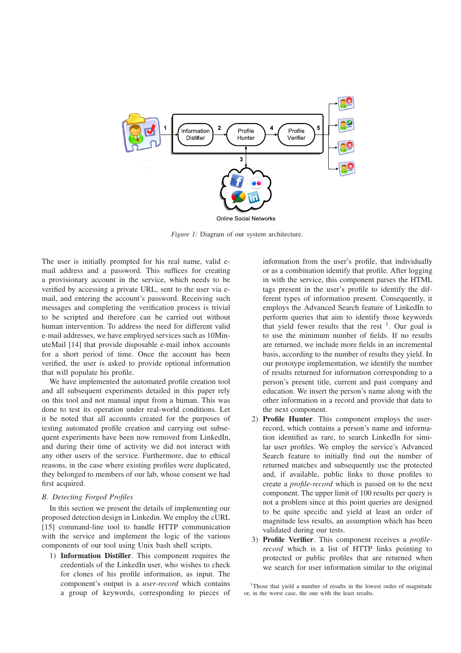

*Figure 1:* Diagram of our system architecture.

The user is initially prompted for his real name, valid email address and a password. This suffices for creating a provisionary account in the service, which needs to be verified by accessing a private URL, sent to the user via email, and entering the account's password. Receiving such messages and completing the verification process is trivial to be scripted and therefore can be carried out without human intervention. To address the need for different valid e-mail addresses, we have employed services such as 10MinuteMail [14] that provide disposable e-mail inbox accounts for a short period of time. Once the account has been verified, the user is asked to provide optional information that will populate his profile.

We have implemented the automated profile creation tool and all subsequent experiments detailed in this paper rely on this tool and not manual input from a human. This was done to test its operation under real-world conditions. Let it be noted that all accounts created for the purposes of testing automated profile creation and carrying out subsequent experiments have been now removed from LinkedIn, and during their time of activity we did not interact with any other users of the service. Furthermore, due to ethical reasons, in the case where existing profiles were duplicated, they belonged to members of our lab, whose consent we had first acquired.

# *B. Detecting Forged Profiles*

In this section we present the details of implementing our proposed detection design in Linkedin. We employ the cURL [15] command-line tool to handle HTTP communication with the service and implement the logic of the various components of our tool using Unix bash shell scripts.

1) **Information Distiller**. This component requires the credentials of the LinkedIn user, who wishes to check for clones of his profile information, as input. The component's output is a *user-record* which contains a group of keywords, corresponding to pieces of information from the user's profile, that individually or as a combination identify that profile. After logging in with the service, this component parses the HTML tags present in the user's profile to identify the different types of information present. Consequently, it employs the Advanced Search feature of LinkedIn to perform queries that aim to identify those keywords that yield fewer results that the rest  $\frac{1}{1}$ . Our goal is to use the minimum number of fields. If no results are returned, we include more fields in an incremental basis, according to the number of results they yield. In our prototype implementation, we identify the number of results returned for information corresponding to a person's present title, current and past company and education. We insert the person's name along with the other information in a record and provide that data to the next component.

- 2) **Profile Hunter**. This component employs the userrecord, which contains a person's name and information identified as rare, to search LinkedIn for similar user profiles. We employ the service's Advanced Search feature to initially find out the number of returned matches and subsequently use the protected and, if available, public links to those profiles to create a *profile-record* which is passed on to the next component. The upper limit of 100 results per query is not a problem since at this point queries are designed to be quite specific and yield at least an order of magnitude less results, an assumption which has been validated during our tests.
- 3) **Profile Verifier**. This component receives a *profilerecord* which is a list of HTTP links pointing to protected or public profiles that are returned when we search for user information similar to the original

<sup>1</sup>Those that yield a number of results in the lowest order of magnitude or, in the worst case, the one with the least results.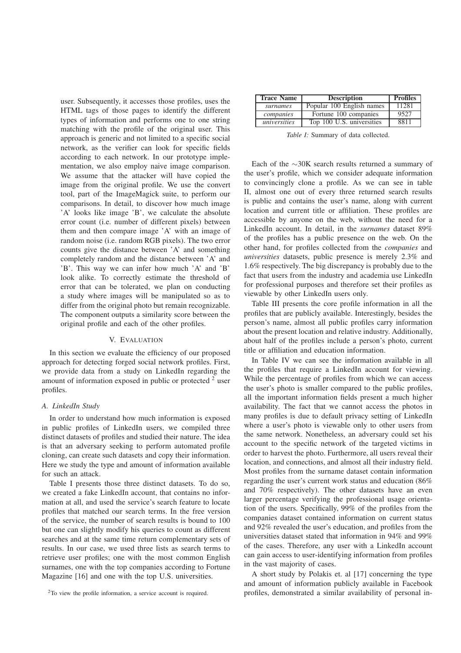user. Subsequently, it accesses those profiles, uses the HTML tags of those pages to identify the different types of information and performs one to one string matching with the profile of the original user. This approach is generic and not limited to a specific social network, as the verifier can look for specific fields according to each network. In our prototype implementation, we also employ naive image comparison. We assume that the attacker will have copied the image from the original profile. We use the convert tool, part of the ImageMagick suite, to perform our comparisons. In detail, to discover how much image 'A' looks like image 'B', we calculate the absolute error count (i.e. number of different pixels) between them and then compare image 'A' with an image of random noise (i.e. random RGB pixels). The two error counts give the distance between 'A' and something completely random and the distance between 'A' and 'B'. This way we can infer how much 'A' and 'B' look alike. To correctly estimate the threshold of error that can be tolerated, we plan on conducting a study where images will be manipulated so as to differ from the original photo but remain recognizable. The component outputs a similarity score between the original profile and each of the other profiles.

#### V. EVALUATION

In this section we evaluate the efficiency of our proposed approach for detecting forged social network profiles. First, we provide data from a study on LinkedIn regarding the amount of information exposed in public or protected  $2$  user profiles.

#### *A. LinkedIn Study*

In order to understand how much information is exposed in public profiles of LinkedIn users, we compiled three distinct datasets of profiles and studied their nature. The idea is that an adversary seeking to perform automated profile cloning, can create such datasets and copy their information. Here we study the type and amount of information available for such an attack.

Table I presents those three distinct datasets. To do so, we created a fake LinkedIn account, that contains no information at all, and used the service's search feature to locate profiles that matched our search terms. In the free version of the service, the number of search results is bound to 100 but one can slightly modify his queries to count as different searches and at the same time return complementary sets of results. In our case, we used three lists as search terms to retrieve user profiles; one with the most common English surnames, one with the top companies according to Fortune Magazine [16] and one with the top U.S. universities.

| <b>Trace Name</b> | <b>Description</b>        | <b>Profiles</b> |
|-------------------|---------------------------|-----------------|
| surnames          | Popular 100 English names | 11281           |
| companies         | Fortune 100 companies     | 9527            |
| universities      | Top 100 U.S. universities | 8811            |

*Table I:* Summary of data collected.

Each of the ∼30K search results returned a summary of the user's profile, which we consider adequate information to convincingly clone a profile. As we can see in table II, almost one out of every three returned search results is public and contains the user's name, along with current location and current title or affiliation. These profiles are accessible by anyone on the web, without the need for a LinkedIn account. In detail, in the *surnames* dataset 89% of the profiles has a public presence on the web. On the other hand, for profiles collected from the *companies* and *universities* datasets, public presence is merely 2.3% and 1.6% respectively. The big discrepancy is probably due to the fact that users from the industry and academia use LinkedIn for professional purposes and therefore set their profiles as viewable by other LinkedIn users only.

Table III presents the core profile information in all the profiles that are publicly available. Interestingly, besides the person's name, almost all public profiles carry information about the present location and relative industry. Additionally, about half of the profiles include a person's photo, current title or affiliation and education information.

In Table IV we can see the information available in all the profiles that require a LinkedIn account for viewing. While the percentage of profiles from which we can access the user's photo is smaller compared to the public profiles, all the important information fields present a much higher availability. The fact that we cannot access the photos in many profiles is due to default privacy setting of LinkedIn where a user's photo is viewable only to other users from the same network. Nonetheless, an adversary could set his account to the specific network of the targeted victims in order to harvest the photo. Furthermore, all users reveal their location, and connections, and almost all their industry field. Most profiles from the surname dataset contain information regarding the user's current work status and education (86% and 70% respectively). The other datasets have an even larger percentage verifying the professional usage orientation of the users. Specifically, 99% of the profiles from the companies dataset contained information on current status and 92% revealed the user's education, and profiles from the universities dataset stated that information in 94% and 99% of the cases. Therefore, any user with a LinkedIn account can gain access to user-identifying information from profiles in the vast majority of cases.

A short study by Polakis et. al [17] concerning the type and amount of information publicly available in Facebook profiles, demonstrated a similar availability of personal in-

<sup>2</sup>To view the profile information, a service account is required.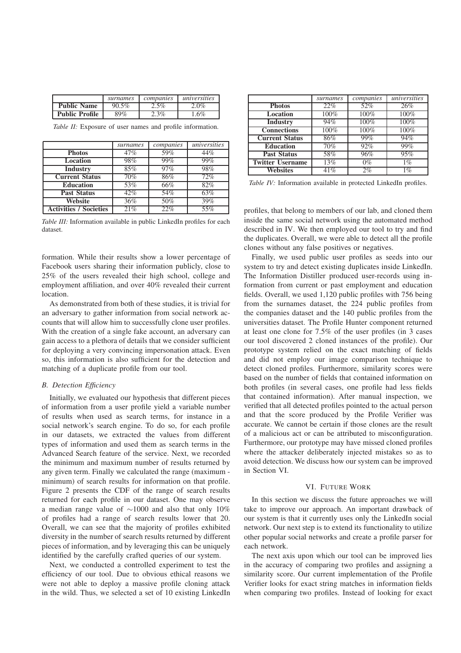|                       | surnames | companies | universities |
|-----------------------|----------|-----------|--------------|
| <b>Public Name</b>    | 90.5%    | $2.5\%$   | 2.0%         |
| <b>Public Profile</b> | 89%      | 2.3%      | . 6%         |

*Table II:* Exposure of user names and profile information.

|                               | surnames          | companies | universities |
|-------------------------------|-------------------|-----------|--------------|
| <b>Photos</b>                 | $\overline{47\%}$ | 59%       | 44%          |
| <b>Location</b>               | 98%               | 99%       | 99%          |
| <b>Industry</b>               | 85%               | 97%       | 98%          |
| <b>Current Status</b>         | 70%               | 86%       | 72%          |
| <b>Education</b>              | 53%               | 66%       | 82%          |
| <b>Past Status</b>            | 42%               | 54%       | 63%          |
| <b>Website</b>                | 36%               | 50%       | 39%          |
| <b>Activities / Societies</b> | 21%               | 22%       | 55%          |

*Table III:* Information available in public LinkedIn profiles for each dataset.

formation. While their results show a lower percentage of Facebook users sharing their information publicly, close to 25% of the users revealed their high school, college and employment affiliation, and over 40% revealed their current location.

As demonstrated from both of these studies, it is trivial for an adversary to gather information from social network accounts that will allow him to successfully clone user profiles. With the creation of a single fake account, an adversary can gain access to a plethora of details that we consider sufficient for deploying a very convincing impersonation attack. Even so, this information is also sufficient for the detection and matching of a duplicate profile from our tool.

# *B. Detection Efficiency*

Initially, we evaluated our hypothesis that different pieces of information from a user profile yield a variable number of results when used as search terms, for instance in a social network's search engine. To do so, for each profile in our datasets, we extracted the values from different types of information and used them as search terms in the Advanced Search feature of the service. Next, we recorded the minimum and maximum number of results returned by any given term. Finally we calculated the range (maximum minimum) of search results for information on that profile. Figure 2 presents the CDF of the range of search results returned for each profile in our dataset. One may observe a median range value of ∼1000 and also that only 10% of profiles had a range of search results lower that 20. Overall, we can see that the majority of profiles exhibited diversity in the number of search results returned by different pieces of information, and by leveraging this can be uniquely identified by the carefully crafted queries of our system.

Next, we conducted a controlled experiment to test the efficiency of our tool. Due to obvious ethical reasons we were not able to deploy a massive profile cloning attack in the wild. Thus, we selected a set of 10 existing LinkedIn

|                         | surnames | companies | universities |
|-------------------------|----------|-----------|--------------|
| <b>Photos</b>           | 22%      | 52%       | 26%          |
| <b>Location</b>         | 100%     | 100%      | 100%         |
| <b>Industry</b>         | 94%      | 100%      | 100%         |
| <b>Connections</b>      | 100%     | 100%      | 100%         |
| <b>Current Status</b>   | 86%      | 99%       | 94%          |
| <b>Education</b>        | 70%      | 92%       | 99%          |
| <b>Past Status</b>      | 58%      | 96%       | 95%          |
| <b>Twitter Username</b> | 13%      | $0\%$     | $1\%$        |
| <b>Websites</b>         | 41%      | 2%        | $1\%$        |

*Table IV:* Information available in protected LinkedIn profiles.

profiles, that belong to members of our lab, and cloned them inside the same social network using the automated method described in IV. We then employed our tool to try and find the duplicates. Overall, we were able to detect all the profile clones without any false positives or negatives.

Finally, we used public user profiles as seeds into our system to try and detect existing duplicates inside LinkedIn. The Information Distiller produced user-records using information from current or past employment and education fields. Overall, we used 1,120 public profiles with 756 being from the surnames dataset, the 224 public profiles from the companies dataset and the 140 public profiles from the universities dataset. The Profile Hunter component returned at least one clone for 7.5% of the user profiles (in 3 cases our tool discovered 2 cloned instances of the profile). Our prototype system relied on the exact matching of fields and did not employ our image comparison technique to detect cloned profiles. Furthermore, similarity scores were based on the number of fields that contained information on both profiles (in several cases, one profile had less fields that contained information). After manual inspection, we verified that all detected profiles pointed to the actual person and that the score produced by the Profile Verifier was accurate. We cannot be certain if those clones are the result of a malicious act or can be attributed to misconfiguration. Furthermore, our prototype may have missed cloned profiles where the attacker deliberately injected mistakes so as to avoid detection. We discuss how our system can be improved in Section VI.

#### VI. FUTURE WORK

In this section we discuss the future approaches we will take to improve our approach. An important drawback of our system is that it currently uses only the LinkedIn social network. Our next step is to extend its functionality to utilize other popular social networks and create a profile parser for each network.

The next axis upon which our tool can be improved lies in the accuracy of comparing two profiles and assigning a similarity score. Our current implementation of the Profile Verifier looks for exact string matches in information fields when comparing two profiles. Instead of looking for exact